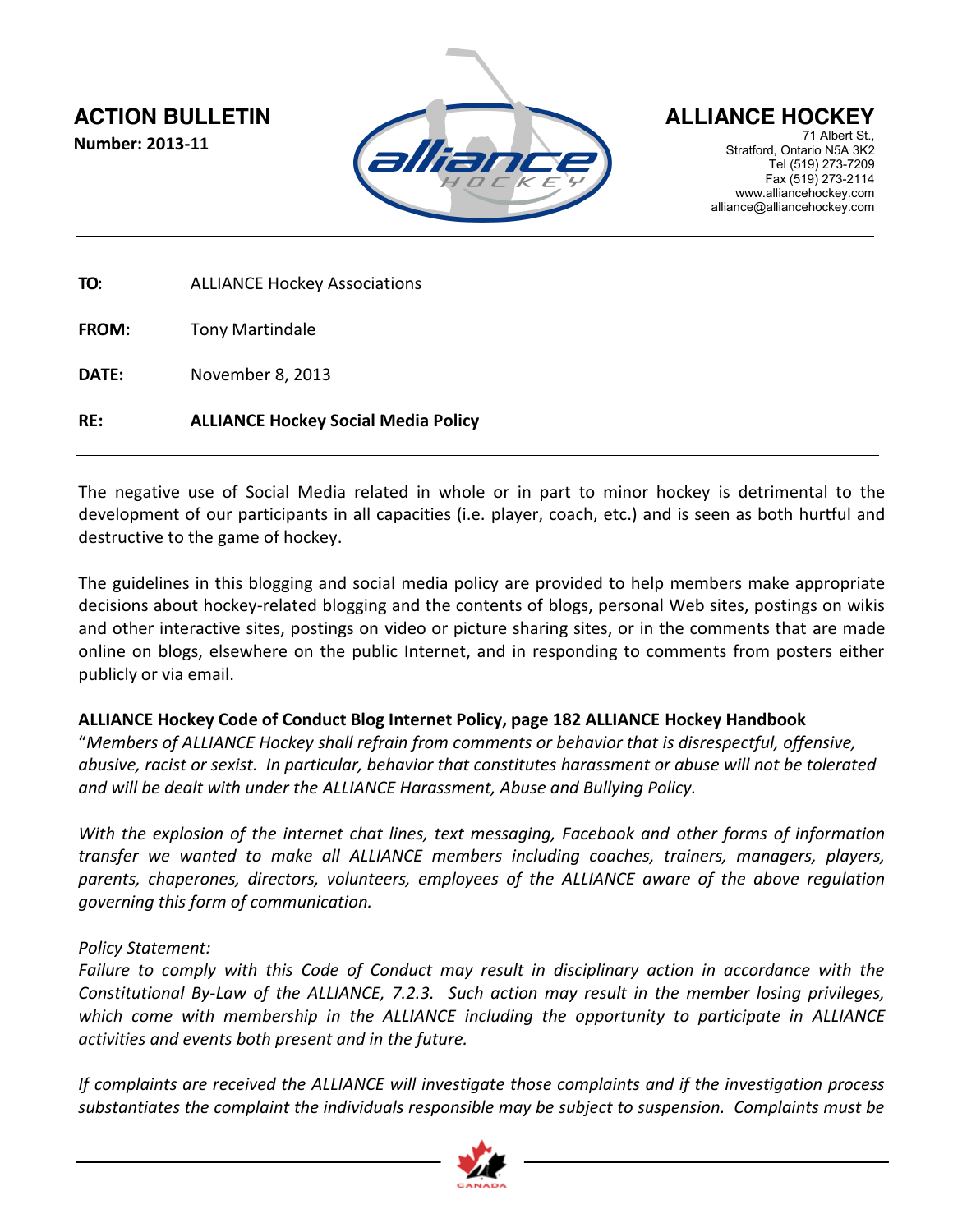**Number: 2013-11**



71 Albert St. Stratford, Ontario N5A 3K2 Tel (519) 273-7209 Fax (519) 273-2114 www.alliancehockey.com alliance@alliancehockey.com

**TO:** ALLIANCE Hockey Associations

**FROM:** Tony Martindale

**DATE:** November 8, 2013

**RE: ALLIANCE Hockey Social Media Policy**

The negative use of Social Media related in whole or in part to minor hockey is detrimental to the development of our participants in all capacities (i.e. player, coach, etc.) and is seen as both hurtful and destructive to the game of hockey.

The guidelines in this blogging and social media policy are provided to help members make appropriate decisions about hockey-related blogging and the contents of blogs, personal Web sites, postings on wikis and other interactive sites, postings on video or picture sharing sites, or in the comments that are made online on blogs, elsewhere on the public Internet, and in responding to comments from posters either publicly or via email.

## **ALLIANCE Hockey Code of Conduct Blog Internet Policy, page 182 ALLIANCE Hockey Handbook**

"*Members of ALLIANCE Hockey shall refrain from comments or behavior that is disrespectful, offensive, abusive, racist or sexist. In particular, behavior that constitutes harassment or abuse will not be tolerated and will be dealt with under the ALLIANCE Harassment, Abuse and Bullying Policy.*

*With the explosion of the internet chat lines, text messaging, Facebook and other forms of information transfer we wanted to make all ALLIANCE members including coaches, trainers, managers, players, parents, chaperones, directors, volunteers, employees of the ALLIANCE aware of the above regulation governing this form of communication.*

## *Policy Statement:*

*Failure to comply with this Code of Conduct may result in disciplinary action in accordance with the Constitutional By-Law of the ALLIANCE, 7.2.3. Such action may result in the member losing privileges, which come with membership in the ALLIANCE including the opportunity to participate in ALLIANCE activities and events both present and in the future.*

*If complaints are received the ALLIANCE will investigate those complaints and if the investigation process substantiates the complaint the individuals responsible may be subject to suspension. Complaints must be*